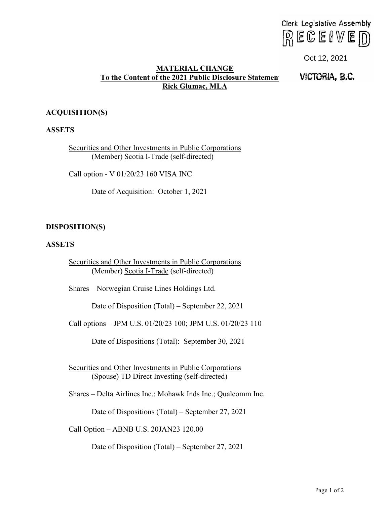# $R \in \mathbb{C}$ elve $D$

# **MATERIAL CHANGE** To the **Content of the 2021 Public Disclosure Statemen Rick Glumac, MLA** Clerk Legislative Assembly<br>
To the Content of The 2021 Public Disposition<br>
Bick Giunnac, MLA<br>
Elek Giunnac, MLA<br>
Elek Giunnac, MLA<br>
Elek Giunnac, MLA<br>
NCTORIA, B.C.<br>
Sesual Other Investments in Public Corporations<br>
Sexual

Oct 12, 2021<br>**VICTORIA, B.C.** 

# **ACQUISITION(S)**

## **ASSETS**

Securities and Other Investments in Public Corporations (Member) Scotia I-Trade (self-directed)

Call option - V 01/20/23 160 VISA INC

Date of Acquisition: October 1, 2021

### **DISPOSITION(S)**

### **ASSETS**

Securities and Other Investments in Public Corporations (Member) Scotia I-Trade (self-directed)

Shares – Norwegian Cruise Lines Holdings Ltd.

Date of Disposition (Total) – September 22, 2021

Call options – JPM U.S. 01/20/23 100; JPM U.S. 01/20/23 110

Date of Dispositions (Total): September 30, 2021

Securities and Other Investments in Public Corporations (Spouse) TD Direct Investing (self-directed)

Shares – Delta Airlines Inc.: Mohawk Inds Inc.; Qualcomm Inc.

Date of Dispositions (Total) – September 27, 2021

Call Option – ABNB U.S. 20JAN23 120.00